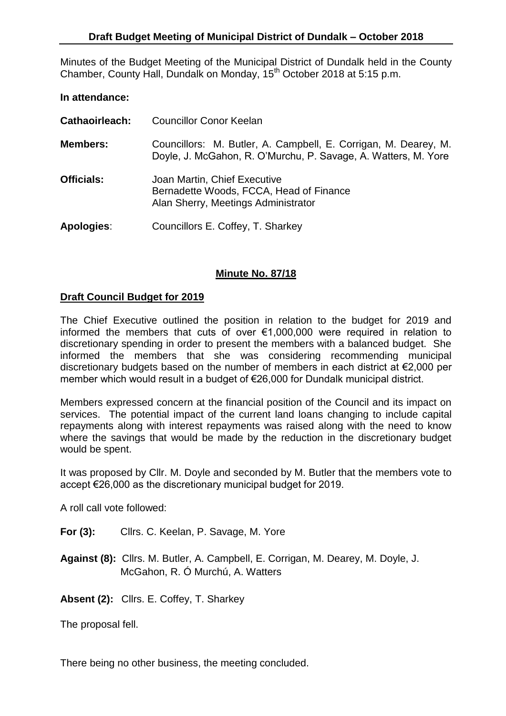Minutes of the Budget Meeting of the Municipal District of Dundalk held in the County Chamber, County Hall, Dundalk on Monday, 15<sup>th</sup> October 2018 at 5:15 p.m.

## **In attendance:**

| Cathaoirleach:    | <b>Councillor Conor Keelan</b>                                                                                                    |
|-------------------|-----------------------------------------------------------------------------------------------------------------------------------|
| <b>Members:</b>   | Councillors: M. Butler, A. Campbell, E. Corrigan, M. Dearey, M.<br>Doyle, J. McGahon, R. O'Murchu, P. Savage, A. Watters, M. Yore |
| <b>Officials:</b> | Joan Martin, Chief Executive<br>Bernadette Woods, FCCA, Head of Finance<br>Alan Sherry, Meetings Administrator                    |
| <b>Apologies:</b> | Councillors E. Coffey, T. Sharkey                                                                                                 |

## **Minute No. 87/18**

## **Draft Council Budget for 2019**

The Chief Executive outlined the position in relation to the budget for 2019 and informed the members that cuts of over €1,000,000 were required in relation to discretionary spending in order to present the members with a balanced budget. She informed the members that she was considering recommending municipal discretionary budgets based on the number of members in each district at €2,000 per member which would result in a budget of €26,000 for Dundalk municipal district.

Members expressed concern at the financial position of the Council and its impact on services. The potential impact of the current land loans changing to include capital repayments along with interest repayments was raised along with the need to know where the savings that would be made by the reduction in the discretionary budget would be spent.

It was proposed by Cllr. M. Doyle and seconded by M. Butler that the members vote to accept €26,000 as the discretionary municipal budget for 2019.

A roll call vote followed:

- For (3): Cllrs. C. Keelan, P. Savage, M. Yore
- **Against (8):** Cllrs. M. Butler, A. Campbell, E. Corrigan, M. Dearey, M. Doyle, J. McGahon, R. Ó Murchú, A. Watters

**Absent (2):** Cllrs. E. Coffey, T. Sharkey

The proposal fell.

There being no other business, the meeting concluded.